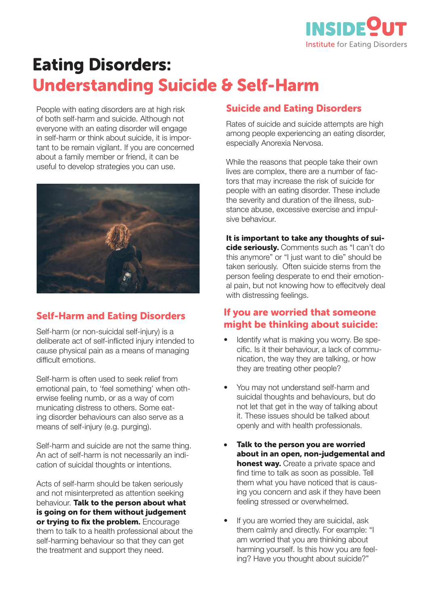

# Eating Disorders: Understanding Suicide & Self-Harm

People with eating disorders are at high risk of both self-harm and suicide. Although not everyone with an eating disorder will engage in self-harm or think about suicide, it is important to be remain vigilant. If you are concerned about a family member or friend, it can be useful to develop strategies you can use.



# Self-Harm and Eating Disorders

Self-harm (or non-suicidal self-injury) is a deliberate act of self-inflicted injury intended to cause physical pain as a means of managing difficult emotions.

Self-harm is often used to seek relief from emotional pain, to 'feel something' when otherwise feeling numb, or as a way of com municating distress to others. Some eating disorder behaviours can also serve as a means of self-injury (e.g. purging).

Self-harm and suicide are not the same thing. An act of self-harm is not necessarily an indication of suicidal thoughts or intentions.

Acts of self-harm should be taken seriously and not misinterpreted as attention seeking behaviour. Talk to the person about what is going on for them without judgement or trying to fix the problem. Encourage them to talk to a health professional about the self-harming behaviour so that they can get the treatment and support they need.

## Suicide and Eating Disorders

Rates of suicide and suicide attempts are high among people experiencing an eating disorder, especially Anorexia Nervosa.

While the reasons that people take their own lives are complex, there are a number of factors that may increase the risk of suicide for people with an eating disorder. These include the severity and duration of the illness, substance abuse, excessive exercise and impulsive behaviour.

It is important to take any thoughts of suicide seriously. Comments such as "I can't do this anymore" or "I just want to die" should be taken seriously. Often suicide stems from the person feeling desperate to end their emotional pain, but not knowing how to effecitvely deal with distressing feelings.

## If you are worried that someone might be thinking about suicide:

- Identify what is making you worry. Be specific. Is it their behaviour, a lack of communication, the way they are talking, or how they are treating other people?
- You may not understand self-harm and suicidal thoughts and behaviours, but do not let that get in the way of talking about it. These issues should be talked about openly and with health professionals.
- Talk to the person you are worried about in an open, non-judgemental and **honest way.** Create a private space and find time to talk as soon as possible. Tell them what you have noticed that is causing you concern and ask if they have been feeling stressed or overwhelmed.
- If you are worried they are suicidal, ask them calmly and directly. For example: "I am worried that you are thinking about harming yourself. Is this how you are feeling? Have you thought about suicide?"